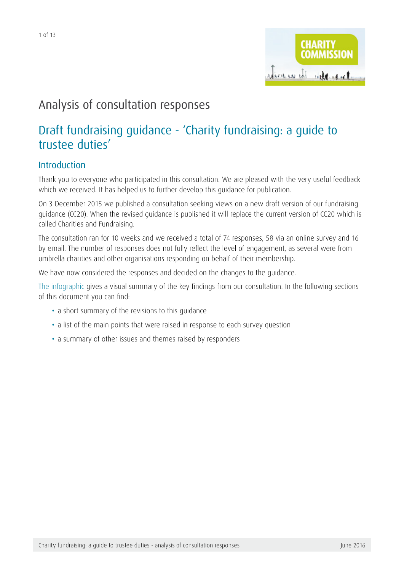## Analysis of consultation responses

## Draft fundraising guidance - 'Charity fundraising: a guide to trustee duties'

## Introduction

Thank you to everyone who participated in this consultation. We are pleased with the very useful feedback which we received. It has helped us to further develop this guidance for publication.

On 3 December 2015 we published a consultation seeking views on a new draft version of our fundraising guidance (CC20). When the revised guidance is published it will replace the current version of CC20 which is called Charities and Fundraising.

The consultation ran for 10 weeks and we received a total of 74 responses, 58 via an online survey and 16 by email. The number of responses does not fully reflect the level of engagement, as several were from umbrella charities and other organisations responding on behalf of their membership.

We have now considered the responses and decided on the changes to the guidance.

[The infographic](https://www.gov.uk/government/publications/charities-and-fundraising-cc20) gives a visual summary of the key findings from our consultation. In the following sections of this document you can find:

- a short summary of the revisions to this quidance
- a list of the main points that were raised in response to each survey question
- a summary of other issues and themes raised by responders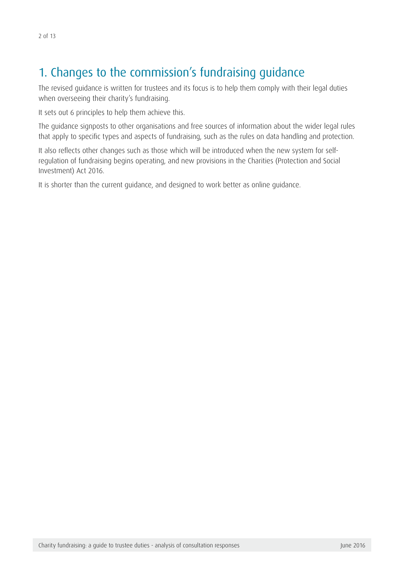# 1. Changes to the commission's fundraising guidance

The revised guidance is written for trustees and its focus is to help them comply with their legal duties when overseeing their charity's fundraising.

It sets out 6 principles to help them achieve this.

The guidance signposts to other organisations and free sources of information about the wider legal rules that apply to specific types and aspects of fundraising, such as the rules on data handling and protection.

It also reflects other changes such as those which will be introduced when the new system for selfregulation of fundraising begins operating, and new provisions in the Charities (Protection and Social Investment) Act 2016.

It is shorter than the current guidance, and designed to work better as online guidance.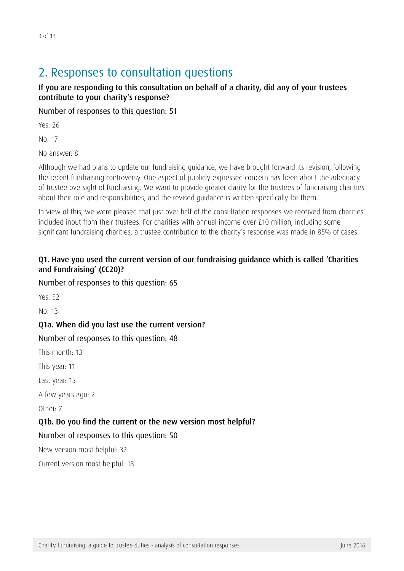## 2. Responses to consultation questions

#### If you are responding to this consultation on behalf of a charity, did any of your trustees contribute to your charity's response?

Number of responses to this question: 51

Yes: 26

No: 17

No answer: 8

Although we had plans to update our fundraising guidance, we have brought forward its revision, following the recent fundraising controversy. One aspect of publicly expressed concern has been about the adequacy of trustee oversight of fundraising. We want to provide greater clarity for the trustees of fundraising charities about their role and responsibilities, and the revised guidance is written specifically for them.

In view of this, we were pleased that just over half of the consultation responses we received from charities included input from their trustees. For charities with annual income over £10 million, including some significant fundraising charities, a trustee contribution to the charity's response was made in 85% of cases.

#### Q1. Have you used the current version of our fundraising guidance which is called 'Charities and Fundraising' (CC20)?

Number of responses to this question: 65

Yes: 52

No: 13

#### Q1a. When did you last use the current version?

#### Number of responses to this question: 48

This month: 13

This year: 11

Last year: 15

A few years ago: 2

Other: 7

#### Q1b. Do you find the current or the new version most helpful?

#### Number of responses to this question: 50

New version most helpful: 32

Current version most helpful: 18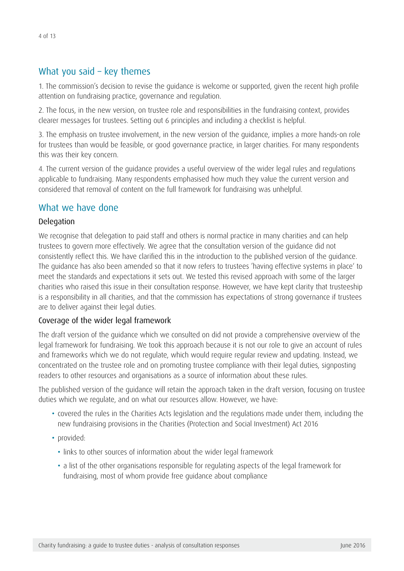### What you said – key themes

1. The commission's decision to revise the guidance is welcome or supported, given the recent high profile attention on fundraising practice, governance and regulation.

2. The focus, in the new version, on trustee role and responsibilities in the fundraising context, provides clearer messages for trustees. Setting out 6 principles and including a checklist is helpful.

3. The emphasis on trustee involvement, in the new version of the guidance, implies a more hands-on role for trustees than would be feasible, or good governance practice, in larger charities. For many respondents this was their key concern.

4. The current version of the guidance provides a useful overview of the wider legal rules and regulations applicable to fundraising. Many respondents emphasised how much they value the current version and considered that removal of content on the full framework for fundraising was unhelpful.

## What we have done

#### Delegation

We recognise that delegation to paid staff and others is normal practice in many charities and can help trustees to govern more effectively. We agree that the consultation version of the guidance did not consistently reflect this. We have clarified this in the introduction to the published version of the guidance. The guidance has also been amended so that it now refers to trustees 'having effective systems in place' to meet the standards and expectations it sets out. We tested this revised approach with some of the larger charities who raised this issue in their consultation response. However, we have kept clarity that trusteeship is a responsibility in all charities, and that the commission has expectations of strong governance if trustees are to deliver against their legal duties.

#### Coverage of the wider legal framework

The draft version of the guidance which we consulted on did not provide a comprehensive overview of the legal framework for fundraising. We took this approach because it is not our role to give an account of rules and frameworks which we do not regulate, which would require regular review and updating. Instead, we concentrated on the trustee role and on promoting trustee compliance with their legal duties, signposting readers to other resources and organisations as a source of information about these rules.

The published version of the guidance will retain the approach taken in the draft version, focusing on trustee duties which we regulate, and on what our resources allow. However, we have:

- • covered the rules in the Charities Acts legislation and the regulations made under them, including the new fundraising provisions in the Charities (Protection and Social Investment) Act 2016
- provided:
	- links to other sources of information about the wider legal framework
	- a list of the other organisations responsible for regulating aspects of the legal framework for fundraising, most of whom provide free guidance about compliance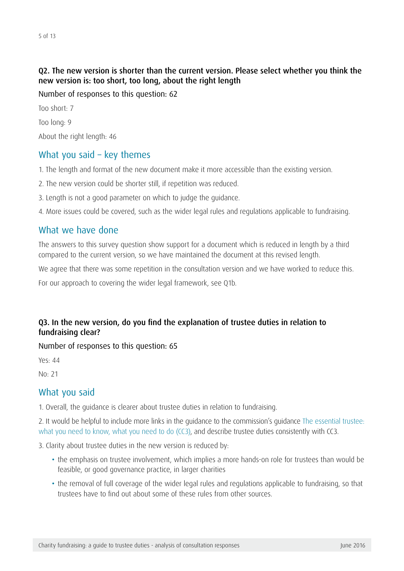#### Q2. The new version is shorter than the current version. Please select whether you think the new version is: too short, too long, about the right length

Number of responses to this question: 62

Too short: 7 Too long: 9 About the right length: 46

## What you said – key themes

1. The length and format of the new document make it more accessible than the existing version.

2. The new version could be shorter still, if repetition was reduced.

3. Length is not a good parameter on which to judge the guidance.

4. More issues could be covered, such as the wider legal rules and regulations applicable to fundraising.

## What we have done

The answers to this survey question show support for a document which is reduced in length by a third compared to the current version, so we have maintained the document at this revised length.

We agree that there was some repetition in the consultation version and we have worked to reduce this.

For our approach to covering the wider legal framework, see Q1b.

#### Q3. In the new version, do you find the explanation of trustee duties in relation to fundraising clear?

Number of responses to this question: 65

Yes: 44

No: 21

#### What you said

1. Overall, the guidance is clearer about trustee duties in relation to fundraising.

2. It would be helpful to include more links in the guidance to the commission's guidance [The essential trustee:](https://www.gov.uk/government/publications/the-essential-trustee-what-you-need-to-know-cc3/the-essential-trustee-what-you-need-to-know-what-you-need-to-do)  [what you need to know, what you need to do](https://www.gov.uk/government/publications/the-essential-trustee-what-you-need-to-know-cc3/the-essential-trustee-what-you-need-to-know-what-you-need-to-do) (CC3), and describe trustee duties consistently with CC3.

3. Clarity about trustee duties in the new version is reduced by:

- the emphasis on trustee involvement, which implies a more hands-on role for trustees than would be feasible, or good governance practice, in larger charities
- the removal of full coverage of the wider legal rules and regulations applicable to fundraising, so that trustees have to find out about some of these rules from other sources.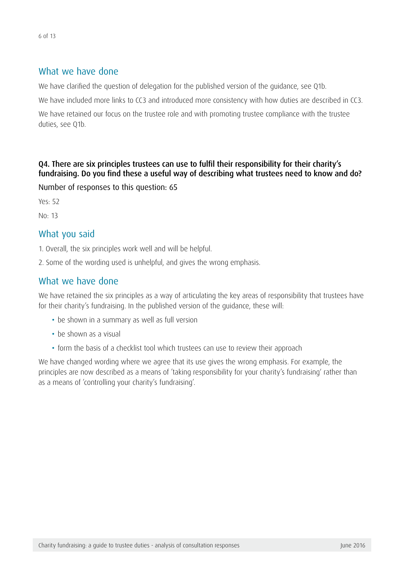## What we have done

We have clarified the question of delegation for the published version of the guidance, see Q1b.

We have included more links to CC3 and introduced more consistency with how duties are described in CC3.

We have retained our focus on the trustee role and with promoting trustee compliance with the trustee duties, see Q1b.

#### Q4. There are six principles trustees can use to fulfil their responsibility for their charity's fundraising. Do you find these a useful way of describing what trustees need to know and do?

Number of responses to this question: 65

Yes: 52

No: 13

## What you said

1. Overall, the six principles work well and will be helpful.

2. Some of the wording used is unhelpful, and gives the wrong emphasis.

## What we have done

We have retained the six principles as a way of articulating the key areas of responsibility that trustees have for their charity's fundraising. In the published version of the guidance, these will:

- be shown in a summary as well as full version
- be shown as a visual
- form the basis of a checklist tool which trustees can use to review their approach

We have changed wording where we agree that its use gives the wrong emphasis. For example, the principles are now described as a means of 'taking responsibility for your charity's fundraising' rather than as a means of 'controlling your charity's fundraising'.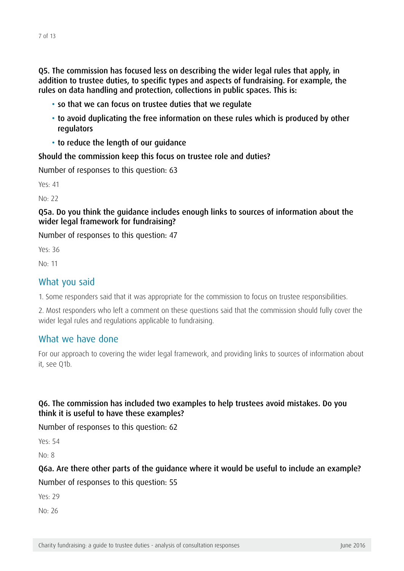Q5. The commission has focused less on describing the wider legal rules that apply, in addition to trustee duties, to specific types and aspects of fundraising. For example, the rules on data handling and protection, collections in public spaces. This is:

- so that we can focus on trustee duties that we regulate
- to avoid duplicating the free information on these rules which is produced by other regulators
- to reduce the length of our guidance

Should the commission keep this focus on trustee role and duties?

Number of responses to this question: 63

Yes: 41

No: 22

#### Q5a. Do you think the guidance includes enough links to sources of information about the wider legal framework for fundraising?

Number of responses to this question: 47

Yes: 36

No: 11

#### What you said

1. Some responders said that it was appropriate for the commission to focus on trustee responsibilities.

2. Most responders who left a comment on these questions said that the commission should fully cover the wider legal rules and regulations applicable to fundraising.

#### What we have done

For our approach to covering the wider legal framework, and providing links to sources of information about it, see Q1b.

#### Q6. The commission has included two examples to help trustees avoid mistakes. Do you think it is useful to have these examples?

Number of responses to this question: 62

Yes: 54

No: 8

## Q6a. Are there other parts of the guidance where it would be useful to include an example? Number of responses to this question: 55

Yes: 29

No: 26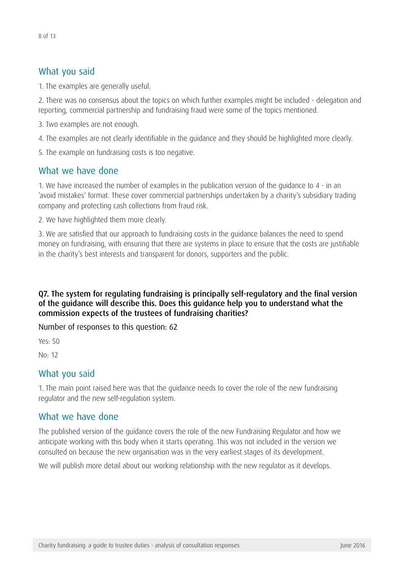## What you said

1. The examples are generally useful.

2. There was no consensus about the topics on which further examples might be included - delegation and reporting, commercial partnership and fundraising fraud were some of the topics mentioned.

3. Two examples are not enough.

4. The examples are not clearly identifiable in the guidance and they should be highlighted more clearly.

5. The example on fundraising costs is too negative.

## What we have done

1. We have increased the number of examples in the publication version of the guidance to 4 - in an 'avoid mistakes' format. These cover commercial partnerships undertaken by a charity's subsidiary trading company and protecting cash collections from fraud risk.

2. We have highlighted them more clearly.

3. We are satisfied that our approach to fundraising costs in the guidance balances the need to spend money on fundraising, with ensuring that there are systems in place to ensure that the costs are justifiable in the charity's best interests and transparent for donors, supporters and the public.

#### Q7. The system for regulating fundraising is principally self-regulatory and the final version of the guidance will describe this. Does this guidance help you to understand what the commission expects of the trustees of fundraising charities?

Number of responses to this question: 62

Yes: 50

No: 12

## What you said

1. The main point raised here was that the guidance needs to cover the role of the new fundraising regulator and the new self-regulation system.

## What we have done

The published version of the guidance covers the role of the new Fundraising Regulator and how we anticipate working with this body when it starts operating. This was not included in the version we consulted on because the new organisation was in the very earliest stages of its development.

We will publish more detail about our working relationship with the new regulator as it develops.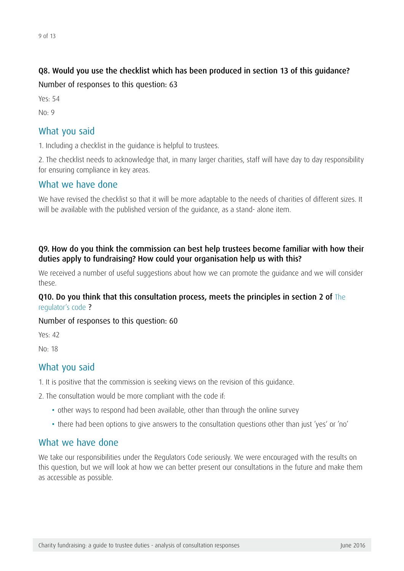#### Q8. Would you use the checklist which has been produced in section 13 of this guidance?

Number of responses to this question: 63

Yes: 54

 $N<sub>0</sub>·9$ 

### What you said

1. Including a checklist in the guidance is helpful to trustees.

2. The checklist needs to acknowledge that, in many larger charities, staff will have day to day responsibility for ensuring compliance in key areas.

## What we have done

We have revised the checklist so that it will be more adaptable to the needs of charities of different sizes. It will be available with the published version of the guidance, as a stand- alone item.

#### Q9. How do you think the commission can best help trustees become familiar with how their duties apply to fundraising? How could your organisation help us with this?

We received a number of useful suggestions about how we can promote the guidance and we will consider these.

#### Q10. Do you think that this consultation process, meets the principles in section 2 of The [regulator's code](http://www.bing.com/search?q=the+regulator%27s+code&src=ie9tr) ?

#### Number of responses to this question: 60

Yes: 42

No: 18

## What you said

1. It is positive that the commission is seeking views on the revision of this guidance.

2. The consultation would be more compliant with the code if:

- other ways to respond had been available, other than through the online survey
- there had been options to give answers to the consultation questions other than just 'yes' or 'no'

#### What we have done

We take our responsibilities under the Regulators Code seriously. We were encouraged with the results on this question, but we will look at how we can better present our consultations in the future and make them as accessible as possible.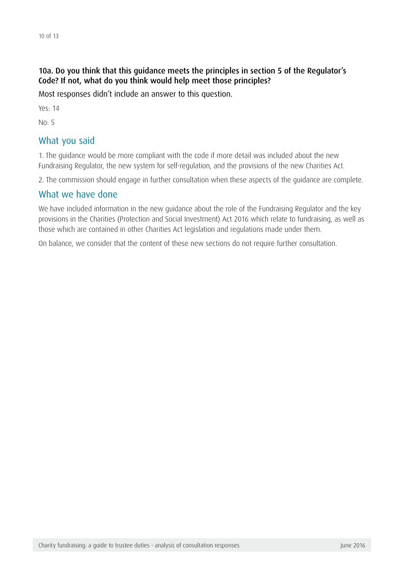#### 10a. Do you think that this guidance meets the principles in section 5 of the Regulator's Code? If not, what do you think would help meet those principles?

Most responses didn't include an answer to this question.

Yes: 14

 $N<sub>0</sub>$ . 5

## What you said

1. The guidance would be more compliant with the code if more detail was included about the new Fundraising Regulator, the new system for self-regulation, and the provisions of the new Charities Act.

2. The commission should engage in further consultation when these aspects of the guidance are complete.

## What we have done

We have included information in the new guidance about the role of the Fundraising Regulator and the key provisions in the Charities (Protection and Social Investment) Act 2016 which relate to fundraising, as well as those which are contained in other Charities Act legislation and regulations made under them.

On balance, we consider that the content of these new sections do not require further consultation.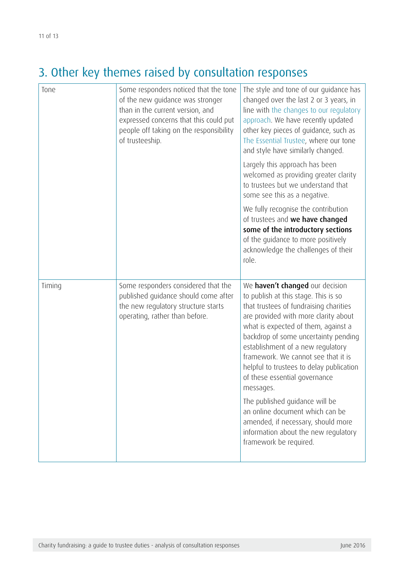# 3. Other key themes raised by consultation responses

| Tone   | Some responders noticed that the tone<br>of the new guidance was stronger<br>than in the current version, and<br>expressed concerns that this could put<br>people off taking on the responsibility<br>of trusteeship. | The style and tone of our guidance has<br>changed over the last 2 or 3 years, in<br>line with the changes to our regulatory<br>approach. We have recently updated<br>other key pieces of guidance, such as<br>The Essential Trustee, where our tone<br>and style have similarly changed.                                                                                                                                                                                                                                                                                                    |
|--------|-----------------------------------------------------------------------------------------------------------------------------------------------------------------------------------------------------------------------|---------------------------------------------------------------------------------------------------------------------------------------------------------------------------------------------------------------------------------------------------------------------------------------------------------------------------------------------------------------------------------------------------------------------------------------------------------------------------------------------------------------------------------------------------------------------------------------------|
|        |                                                                                                                                                                                                                       | Largely this approach has been<br>welcomed as providing greater clarity<br>to trustees but we understand that<br>some see this as a negative.                                                                                                                                                                                                                                                                                                                                                                                                                                               |
|        |                                                                                                                                                                                                                       | We fully recognise the contribution<br>of trustees and we have changed<br>some of the introductory sections<br>of the guidance to more positively<br>acknowledge the challenges of their<br>role.                                                                                                                                                                                                                                                                                                                                                                                           |
| Timing | Some responders considered that the<br>published guidance should come after<br>the new regulatory structure starts<br>operating, rather than before.                                                                  | We haven't changed our decision<br>to publish at this stage. This is so<br>that trustees of fundraising charities<br>are provided with more clarity about<br>what is expected of them, against a<br>backdrop of some uncertainty pending<br>establishment of a new regulatory<br>framework. We cannot see that it is<br>helpful to trustees to delay publication<br>of these essential governance<br>messages.<br>The published guidance will be<br>an online document which can be<br>amended, if necessary, should more<br>information about the new regulatory<br>framework be required. |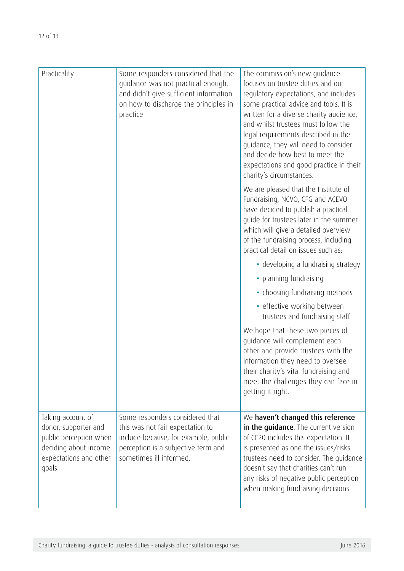| Practicality                                                                                                                     | Some responders considered that the<br>quidance was not practical enough,<br>and didn't give sufficient information<br>on how to discharge the principles in<br>practice      | The commission's new quidance<br>focuses on trustee duties and our<br>regulatory expectations, and includes<br>some practical advice and tools. It is<br>written for a diverse charity audience,<br>and whilst trustees must follow the<br>legal requirements described in the<br>guidance, they will need to consider<br>and decide how best to meet the<br>expectations and good practice in their<br>charity's circumstances. |
|----------------------------------------------------------------------------------------------------------------------------------|-------------------------------------------------------------------------------------------------------------------------------------------------------------------------------|----------------------------------------------------------------------------------------------------------------------------------------------------------------------------------------------------------------------------------------------------------------------------------------------------------------------------------------------------------------------------------------------------------------------------------|
|                                                                                                                                  |                                                                                                                                                                               | We are pleased that the Institute of<br>Fundraising, NCVO, CFG and ACEVO<br>have decided to publish a practical<br>guide for trustees later in the summer<br>which will give a detailed overview<br>of the fundraising process, including<br>practical detail on issues such as:                                                                                                                                                 |
|                                                                                                                                  |                                                                                                                                                                               | • developing a fundraising strategy                                                                                                                                                                                                                                                                                                                                                                                              |
|                                                                                                                                  |                                                                                                                                                                               | • planning fundraising                                                                                                                                                                                                                                                                                                                                                                                                           |
|                                                                                                                                  |                                                                                                                                                                               | • choosing fundraising methods                                                                                                                                                                                                                                                                                                                                                                                                   |
|                                                                                                                                  |                                                                                                                                                                               | • effective working between<br>trustees and fundraising staff                                                                                                                                                                                                                                                                                                                                                                    |
|                                                                                                                                  |                                                                                                                                                                               | We hope that these two pieces of<br>guidance will complement each<br>other and provide trustees with the<br>information they need to oversee<br>their charity's vital fundraising and<br>meet the challenges they can face in<br>getting it right.                                                                                                                                                                               |
| Taking account of<br>donor, supporter and<br>public perception when<br>deciding about income<br>expectations and other<br>goals. | Some responders considered that<br>this was not fair expectation to<br>include because, for example, public<br>perception is a subjective term and<br>sometimes ill informed. | We haven't changed this reference<br>in the quidance. The current version<br>of CC20 includes this expectation. It<br>is presented as one the issues/risks<br>trustees need to consider. The guidance<br>doesn't say that charities can't run<br>any risks of negative public perception<br>when making fundraising decisions.                                                                                                   |